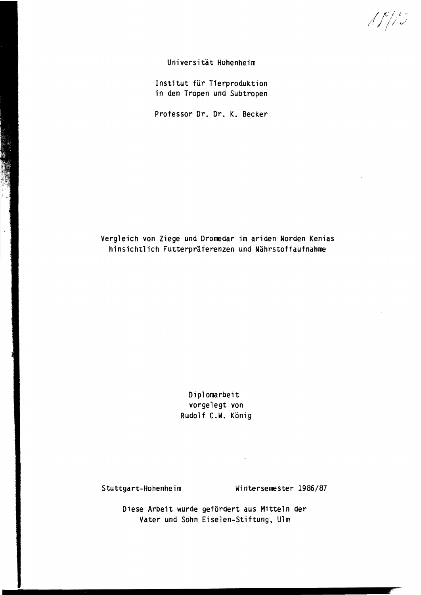$\sqrt{f/15}$ 

Universität HOhenheim

Institut für Tierproduktion in den Tropen und Subtropen

Professor Dr. Dr. K. Becker

## Vergleich von Ziege und Dromedar im ariden Norden Kenias hinsichtlich Futterpräferenzen und Nährstoffaufnahme

Diplomarbeit vorgelegt von Rudolf C.W. König

 $\mathcal{L}$ 

## Stuttgart-Hohenheim Wintersemester 1986/87

Diese Arbeit wurde gefördert aus Mitteln der Vater und Sohn Eiselen-Stiftung, Ulm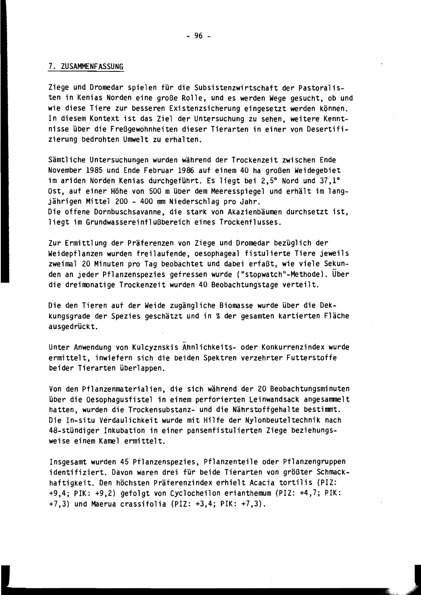## 7. ZUSAMMENFASSUNG

Ziege und Dromedar spielen für die Subsistenzwirtschaft der Pastoralis ten in Kenias Norden eine große Rolle, und es werden Wege gesucht, ob und wie diese Tiere zur besseren Existenzsicherung eingesetzt werden können. In diesem Kontext ist das Ziel der Untersuchung zu sehen, weitere Kennt nisse über die Freßgewohnheiten dieser Tierarten in einer von Desertifi zierung bedrohten Umwelt zu erhalten.

Sämtliche Untersuchungen wurden während der Trockenzeit zwischen Ende November 1985 und Ende Februar 1986 auf einem 40 ha großen Weidegebiet im ariden Norden Kenias durchgeführt. Es liegt bei 2,5° Nord und 37,1° Ost, auf einer HÖhe von 500 m über dem Meeresspiegel und erhält im lang jährigen Mittel 200 - 400 mm Niederschlag pro Jahr. Die offene Dornbuschsavanne, die stark von Akazienbäumen durchsetzt ist, liegt im Grundwassereinflußbereich eines Trockenflusses.

Zur Ermittlung der Präferenzen von Ziege und Dromedar bezüglich der Weidepflanzen wurden freilaufende, oesophageal fistulierte Tiere jeweils zweimal 20 Minuten pro Tag beobachtet und dabei erfaßt, wie viele Sekun den an jeder Pflanzenspezies gefressen wurde ("stopwatch"-Methode). Über die dreimonatige Trockenzeit wurden 40 Beobachtungstage verteilt.

Die den Tieren auf der Weide zugängliche Biomasse wurde über die Dek kungsgrade der Spezies geschätzt und in % der gesamten kartierten Fläche ausgedrückt.

Unter Anwendung von Kulcyznskis Ahnlichkeits- oder Konkurrenzindex wurde ermittelt, inwiefern sich die beiden Spektren verzehrter Futterstoffe beider Tierarten überlappen.

Von den Pflanzenmaterialien, die sich während der 20 Beobachtungsminuten über die Oesophagusfistel in einem perforierten Leinwandsack angesammelt hatten, wurden die Trockensubstanz- und die Nährstoffgehalte bestimmt. Die In-situ Verdaulichkeit wurde mit Hilfe der Nylonbeuteltechnik nach 48-stündiger Inkubation in einer pansenfistulierten Ziege beziehungs weise einem Kamel ermittelt.

Insgesamt wurden 45 Pflanzenspezies, Pflanzenteile oder Pflanzengruppen identifiziert. Davon waren drei für beide Tierarten von größter Schmack haftigkeit. Den höchsten Präferenzindex erhielt Acacia tortilis (PIZ: +9,4; PIK: +9,2) gefolgt von Cyclocheilon erianthemum (PIZ: +4,7; PIK: +7,3) und Maerua crassifolia (PIZ: +3,4; PIK: +7,3) .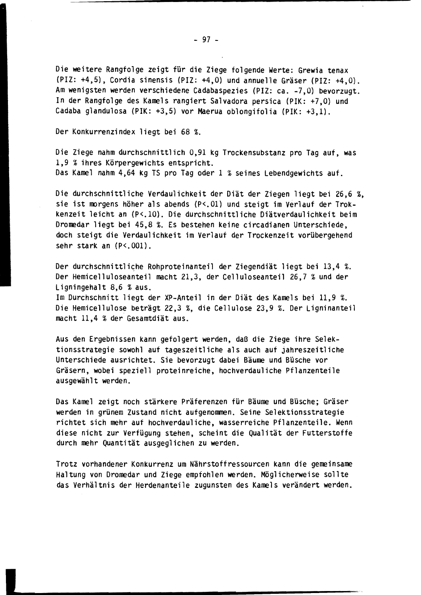Die weitere Rangfolge zeigt für die Ziege folgende Werte: Grewia tenax (PIZ: +4,5), Cordia sinensis (PIZ: +4,0) und annuelle Gräser (PIZ: +4,0). Am wenigsten werden verschiedene Cadabaspezies (PIZ: ca. -7,0) bevorzugt. In der Rangfolge des Kamels rangiert Salvadora persica (PIK: +7,0) und Cadaba glandulosa (PIK: +3,5) vor Maerua oblongifolia (PIK: +3,1).

Der Konkurrenzindex liegt bei 68 %.

Die Ziege nahm durchschnittlich 0,91 kg Trockensubstanz pro Tag auf, was 1,9 % ihres Körpergewichts entspricht. Das Kamel nahm 4,64 kg TS pro Tag oder 1 % seines Lebendgewichts auf.

Die durchschnittliche Verdaulichkeit der Diät der Ziegen liegt bei 26,6 %, sie ist morgens höher als abends (P<.01) und steigt im Verlauf der Trokkenzeit leicht an (P<.10). Die durchschnittliche Diätverdaulichkeit beim Dromedar liegt bei 45,8 %. Es bestehen keine circadianen Unterschiede, doch steigt die Verdaulichkeit im Verlauf der Trockenzeit vorübergehend sehr stark an  $(P<.001)$ .

Der durchschnittliche Rohproteinanteil der Ziegendiät liegt bei 13,4 %. Der Hemicelluloseanteil macht 21,3, der Celluloseanteil 26,7 % und der Ligningehalt 8,6 %aus. Im Durchschnitt liegt der XP-Anteil in der Diät des Kamels bei 11,9 %. Die Hemicellulose beträgt 22,3 %, die Cellulose 23,9 %. Der Ligninanteil macht 11,4 % der Gesamtdiät aus.

Aus den Ergebnissen kann gefolgert werden, daß die Ziege ihre Selek tionsstrategie sowohl auf tageszeitliche als auch auf jahreszeitliche Unterschiede ausrichtet. Sie bevorzugt dabei Bäume und Büsche vor Gräsern, wobei speziell proteinreiche, hochverdauliche Pflanzenteile ausgewählt werden.

Das Kamel zeigt noch stärkere Präferenzen für Bäume und Büsche; Gräser werden in grünem Zustand niCht aufgenommen. Seine Selektionsstrategie richtet sich mehr auf hochverdauliche, wasserreiche Pflanzenteile. Wenn diese nicht zur Verfügung stehen, scheint die Qualität der Futterstoffe durch mehr Quantität ausgeglichen zu werden.

Trotz vorhandener Konkurrenz um Nährstoffressourcen kann die gemeinsame Haltung von Dromedar und Ziege empfohlen werden. Möglicherweise sollte das Verhältnis der Herdenanteile zugunsten des Kamels verändert werden.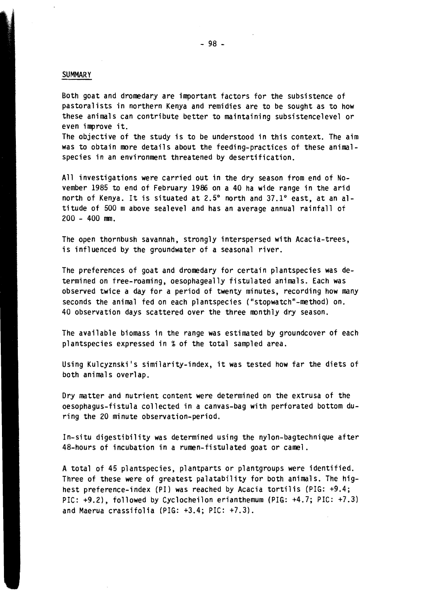## SUMMARY

Both goat and dromedary are important factors for the subsistence of pastoralists in northern Kenya and remidies are to be sought as to how these animals can contribute better to maintaining subsistencelevel or even improve it.

The objective of the study is to be understood in this context. The aim was to obtain more details about the feeding-practices of these animalspecies in an environment threatened by desertification.

All investigations were carried out in the dry season from end of November 1985 to end of February 1986 on a 40 ha wide range in the arid north of Kenya. It is situated at 2.5° north and 37.1° east, at an altitude of 500 mabove sealevel and has an average annual rainfall of  $200 - 400$  mm.

The open thornbush savannah, strongly interspersed with Acacia-trees, is influenced by the groundwater of a seasonal river.

The preferences of goat and dromedary for certain plantspecies was determined on free-roaming, oesophageally fistulated animals. Each was observed twice a day for a period of twenty minutes, recording how many seconds the animal fed on each plantspecies ("stopwatch"-method) on. 40 observation days scattered over the three roonthly dry season.

The available biomass in the range was estimated by groundcover of each plantspecies expressed in %of the total sampled area.

Using KUlcyznski's similarity-index, it was tested how far the diets of both animals overlap.

Dry matter and nutrient content were determined on the extrusa of the oesophagus-fistula collected in a canvas-bag with perforated bottom during the 20 minute observation-period.

In-situ digestibility was determined using the nylon-bagtechnique after 48-hours of incubation in a rumen-fistulated goat or camel.

A total of 45 plantspecies, plantparts or plantgroups were identified. Three of these were of greatest palatability for both animals. The highest preference-index (PI) was reached by Acacia tortilis (PIG: +9.4; PIC: +9.2), followed by Cyclocheilon erianthemum (PIG: +4.7; PIC: +7.3) and Maerua crassifolia (PIG: +3.4; PIC: +7.3).